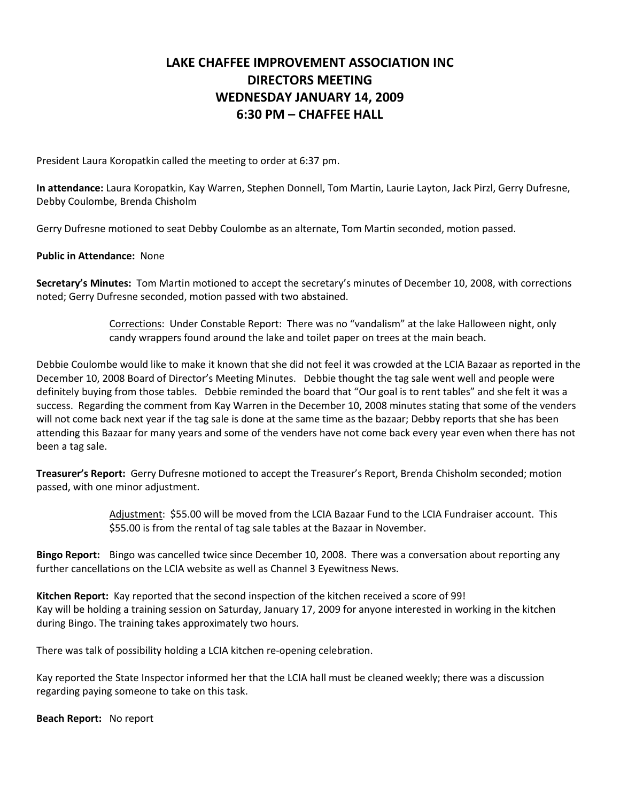## **LAKE CHAFFEE IMPROVEMENT ASSOCIATION INC DIRECTORS MEETING WEDNESDAY JANUARY 14, 2009 6:30 PM – CHAFFEE HALL**

President Laura Koropatkin called the meeting to order at 6:37 pm.

**In attendance:** Laura Koropatkin, Kay Warren, Stephen Donnell, Tom Martin, Laurie Layton, Jack Pirzl, Gerry Dufresne, Debby Coulombe, Brenda Chisholm

Gerry Dufresne motioned to seat Debby Coulombe as an alternate, Tom Martin seconded, motion passed.

**Public in Attendance:** None

**Secretary's Minutes:** Tom Martin motioned to accept the secretary's minutes of December 10, 2008, with corrections noted; Gerry Dufresne seconded, motion passed with two abstained.

> Corrections: Under Constable Report: There was no "vandalism" at the lake Halloween night, only candy wrappers found around the lake and toilet paper on trees at the main beach.

Debbie Coulombe would like to make it known that she did not feel it was crowded at the LCIA Bazaar as reported in the December 10, 2008 Board of Director's Meeting Minutes. Debbie thought the tag sale went well and people were definitely buying from those tables. Debbie reminded the board that "Our goal is to rent tables" and she felt it was a success. Regarding the comment from Kay Warren in the December 10, 2008 minutes stating that some of the venders will not come back next year if the tag sale is done at the same time as the bazaar; Debby reports that she has been attending this Bazaar for many years and some of the venders have not come back every year even when there has not been a tag sale.

**Treasurer's Report:** Gerry Dufresne motioned to accept the Treasurer's Report, Brenda Chisholm seconded; motion passed, with one minor adjustment.

> Adjustment: \$55.00 will be moved from the LCIA Bazaar Fund to the LCIA Fundraiser account. This \$55.00 is from the rental of tag sale tables at the Bazaar in November.

**Bingo Report:** Bingo was cancelled twice since December 10, 2008. There was a conversation about reporting any further cancellations on the LCIA website as well as Channel 3 Eyewitness News.

**Kitchen Report:** Kay reported that the second inspection of the kitchen received a score of 99! Kay will be holding a training session on Saturday, January 17, 2009 for anyone interested in working in the kitchen during Bingo. The training takes approximately two hours.

There was talk of possibility holding a LCIA kitchen re-opening celebration.

Kay reported the State Inspector informed her that the LCIA hall must be cleaned weekly; there was a discussion regarding paying someone to take on this task.

**Beach Report:** No report